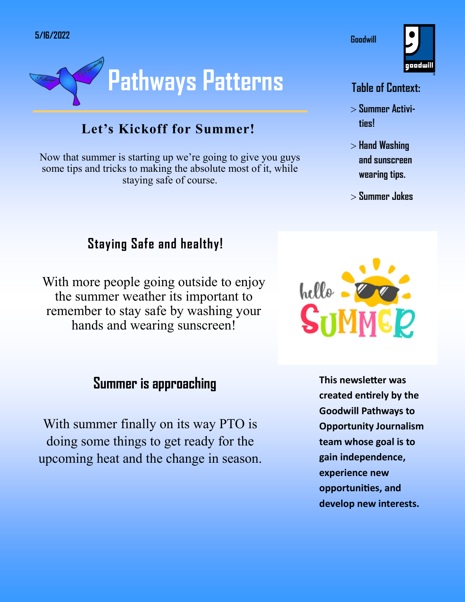

### **Let's Kickoff for Summer!**

Now that summer is starting up we're going to give you guys some tips and tricks to making the absolute most of it, while staying safe of course.

### **Staying Safe and healthy!**

With more people going outside to enjoy the summer weather its important to remember to stay safe by washing your hands and wearing sunscreen!

### **Summer is approaching**

With summer finally on its way PTO is doing some things to get ready for the upcoming heat and the change in season.



#### **Table of Context:**

**Goodwill** 

- **Summer Activities!**
- $>$  Hand Washing **and sunscreen wearing tips.**
- **Summer Jokes**



**This newsletter was created entirely by the Goodwill Pathways to Opportunity Journalism team whose goal is to gain independence, experience new opportunities, and develop new interests.**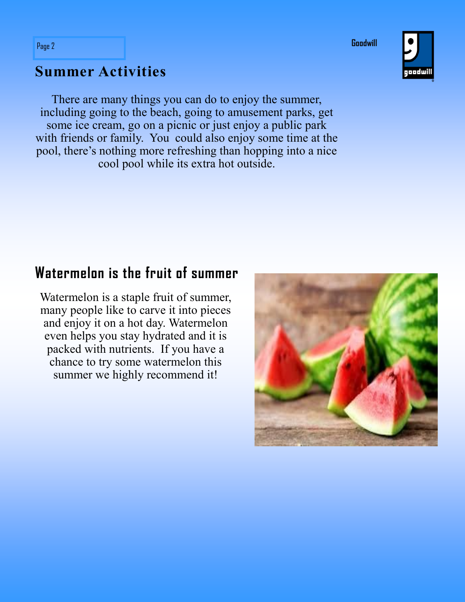**Goodwill**



### **Summer Activities**

There are many things you can do to enjoy the summer, including going to the beach, going to amusement parks, get some ice cream, go on a picnic or just enjoy a public park with friends or family. You could also enjoy some time at the pool, there's nothing more refreshing than hopping into a nice cool pool while its extra hot outside.

### **Watermelon is the fruit of summer**

Watermelon is a staple fruit of summer, many people like to carve it into pieces and enjoy it on a hot day. Watermelon even helps you stay hydrated and it is packed with nutrients. If you have a chance to try some watermelon this summer we highly recommend it!

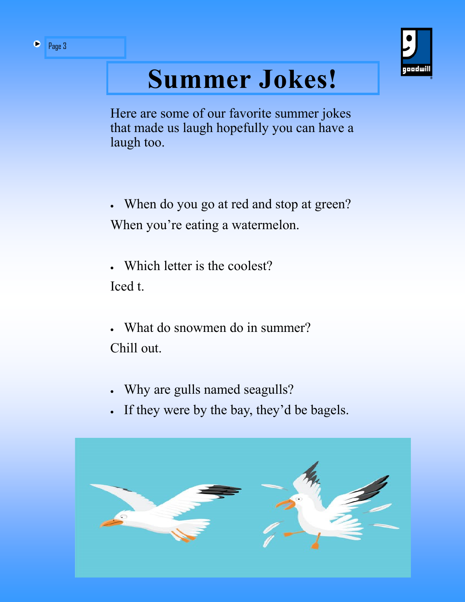

## **Summer Jokes!**

Here are some of our favorite summer jokes that made us laugh hopefully you can have a laugh too.

- When do you go at red and stop at green? When you're eating a watermelon.
- Which letter is the coolest? Iced t.
- What do snowmen do in summer? Chill out.
- Why are gulls named seagulls?
- If they were by the bay, they'd be bagels.

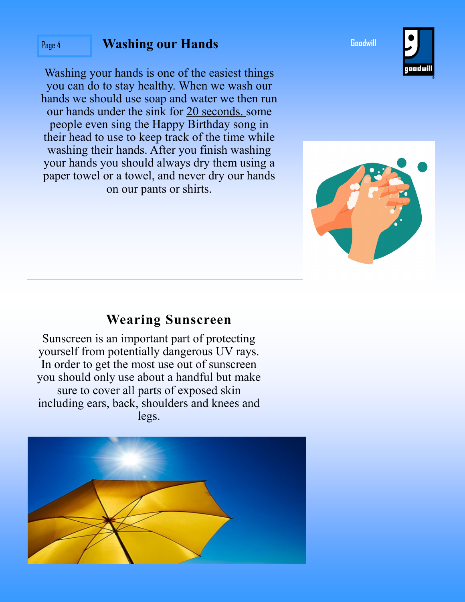### Page 4 **Washing our Hands**

Washing your hands is one of the easiest things you can do to stay healthy. When we wash our hands we should use soap and water we then run our hands under the sink for 20 seconds. some people even sing the Happy Birthday song in their head to use to keep track of the time while washing their hands. After you finish washing your hands you should always dry them using a paper towel or a towel, and never dry our hands on our pants or shirts.

### **Wearing Sunscreen**

Sunscreen is an important part of protecting yourself from potentially dangerous UV rays. In order to get the most use out of sunscreen you should only use about a handful but make sure to cover all parts of exposed skin including ears, back, shoulders and knees and legs.







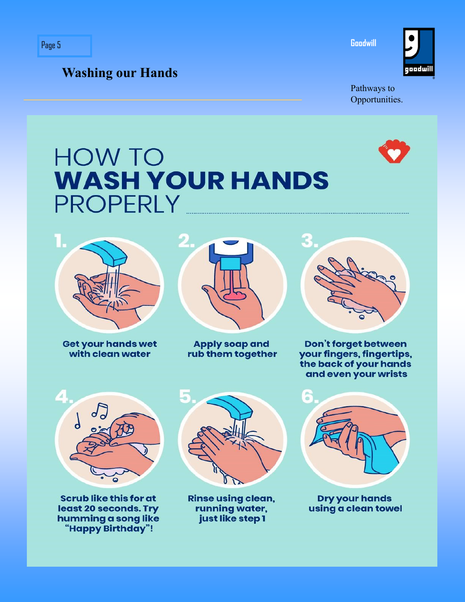goodwill

Pathways to Opportunities.

**Goodwill** 

### **HOW TO WASH YOUR HANDS PROPERLY**



**Washing our Hands**

**Get your hands wet** with clean water



**Apply soap and** rub them together



Don't forget between your fingers, fingertips, the back of your hands and even your wrists



**Scrub like this for at** least 20 seconds. Try humming a song like "Happy Birthday"!



**Rinse using clean,** running water, just like step 1



**Dry your hands** using a clean towel